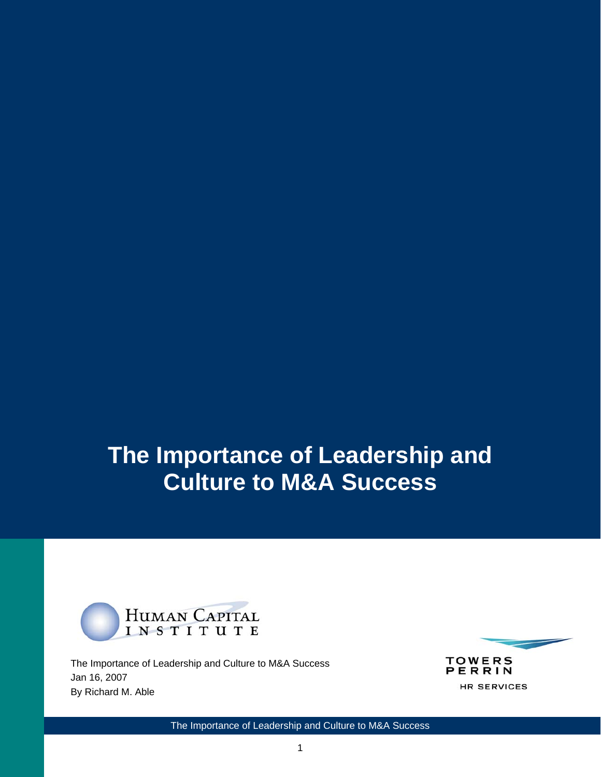# **The Importance of Leadership and Culture to M&A Success**



The Importance of Leadership and Culture to M&A Success Jan 16, 2007 By Richard M. Able



The Importance of Leadership and Culture to M&A Success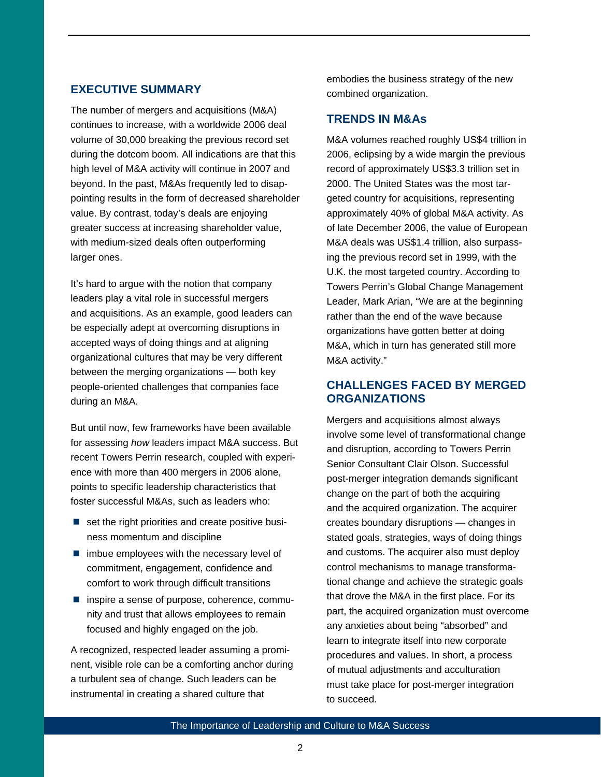# **EXECUTIVE SUMMARY**

The number of mergers and acquisitions (M&A) continues to increase, with a worldwide 2006 deal volume of 30,000 breaking the previous record set during the dotcom boom. All indications are that this high level of M&A activity will continue in 2007 and beyond. In the past, M&As frequently led to disappointing results in the form of decreased shareholder value. By contrast, today's deals are enjoying greater success at increasing shareholder value, with medium-sized deals often outperforming larger ones.

It's hard to argue with the notion that company leaders play a vital role in successful mergers and acquisitions. As an example, good leaders can be especially adept at overcoming disruptions in accepted ways of doing things and at aligning organizational cultures that may be very different between the merging organizations — both key people-oriented challenges that companies face during an M&A.

But until now, few frameworks have been available for assessing *how* leaders impact M&A success. But recent Towers Perrin research, coupled with experience with more than 400 mergers in 2006 alone, points to specific leadership characteristics that foster successful M&As, such as leaders who:

- $\blacksquare$  set the right priorities and create positive business momentum and discipline
- $\blacksquare$  imbue employees with the necessary level of commitment, engagement, confidence and comfort to work through difficult transitions
- $\blacksquare$  inspire a sense of purpose, coherence, community and trust that allows employees to remain focused and highly engaged on the job.

A recognized, respected leader assuming a prominent, visible role can be a comforting anchor during a turbulent sea of change. Such leaders can be instrumental in creating a shared culture that

embodies the business strategy of the new combined organization.

## **TRENDS IN M&As**

M&A volumes reached roughly US\$4 trillion in 2006, eclipsing by a wide margin the previous record of approximately US\$3.3 trillion set in 2000. The United States was the most targeted country for acquisitions, representing approximately 40% of global M&A activity. As of late December 2006, the value of European M&A deals was US\$1.4 trillion, also surpassing the previous record set in 1999, with the U.K. the most targeted country. According to Towers Perrin's Global Change Management Leader, Mark Arian, "We are at the beginning rather than the end of the wave because organizations have gotten better at doing M&A, which in turn has generated still more M&A activity."

# **CHALLENGES FACED BY MERGED ORGANIZATIONS**

Mergers and acquisitions almost always involve some level of transformational change and disruption, according to Towers Perrin Senior Consultant Clair Olson. Successful post-merger integration demands significant change on the part of both the acquiring and the acquired organization. The acquirer creates boundary disruptions — changes in stated goals, strategies, ways of doing things and customs. The acquirer also must deploy control mechanisms to manage transformational change and achieve the strategic goals that drove the M&A in the first place. For its part, the acquired organization must overcome any anxieties about being "absorbed" and learn to integrate itself into new corporate procedures and values. In short, a process of mutual adjustments and acculturation must take place for post-merger integration to succeed.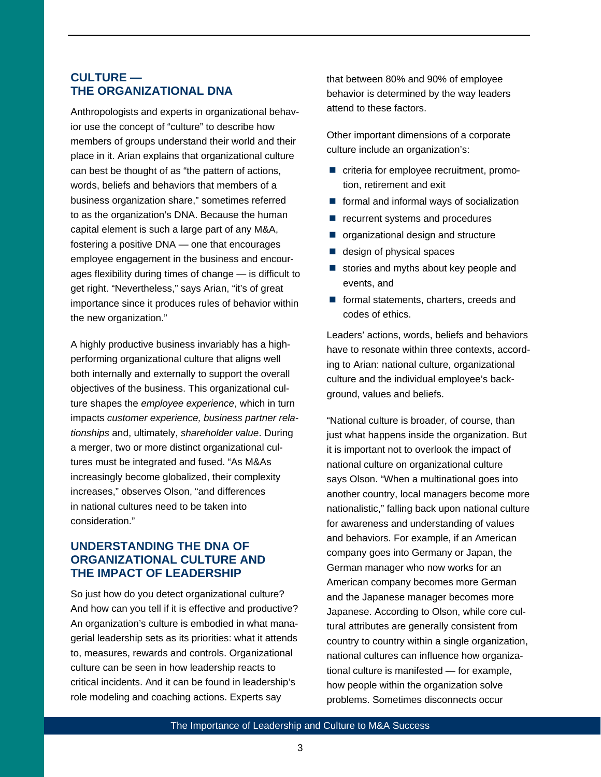# **CULTURE — THE ORGANIZATIONAL DNA**

Anthropologists and experts in organizational behavior use the concept of "culture" to describe how members of groups understand their world and their place in it. Arian explains that organizational culture can best be thought of as "the pattern of actions, words, beliefs and behaviors that members of a business organization share," sometimes referred to as the organization's DNA. Because the human capital element is such a large part of any M&A, fostering a positive DNA — one that encourages employee engagement in the business and encourages flexibility during times of change — is difficult to get right. "Nevertheless," says Arian, "it's of great importance since it produces rules of behavior within the new organization."

A highly productive business invariably has a highperforming organizational culture that aligns well both internally and externally to support the overall objectives of the business. This organizational culture shapes the *employee experience*, which in turn impacts *customer experience, business partner relationships* and, ultimately, *shareholder value*. During a merger, two or more distinct organizational cultures must be integrated and fused. "As M&As increasingly become globalized, their complexity increases," observes Olson, "and differences in national cultures need to be taken into consideration."

# **UNDERSTANDING THE DNA OF ORGANIZATIONAL CULTURE AND THE IMPACT OF LEADERSHIP**

So just how do you detect organizational culture? And how can you tell if it is effective and productive? An organization's culture is embodied in what managerial leadership sets as its priorities: what it attends to, measures, rewards and controls. Organizational culture can be seen in how leadership reacts to critical incidents. And it can be found in leadership's role modeling and coaching actions. Experts say

that between 80% and 90% of employee behavior is determined by the way leaders attend to these factors.

Other important dimensions of a corporate culture include an organization's:

- criteria for employee recruitment, promotion, retirement and exit
- $\blacksquare$  formal and informal ways of socialization
- recurrent systems and procedures
- organizational design and structure
- $\blacksquare$  design of physical spaces
- $\blacksquare$  stories and myths about key people and events, and
- **formal statements, charters, creeds and** codes of ethics.

Leaders' actions, words, beliefs and behaviors have to resonate within three contexts, according to Arian: national culture, organizational culture and the individual employee's background, values and beliefs.

"National culture is broader, of course, than just what happens inside the organization. But it is important not to overlook the impact of national culture on organizational culture says Olson. "When a multinational goes into another country, local managers become more nationalistic," falling back upon national culture for awareness and understanding of values and behaviors. For example, if an American company goes into Germany or Japan, the German manager who now works for an American company becomes more German and the Japanese manager becomes more Japanese. According to Olson, while core cultural attributes are generally consistent from country to country within a single organization, national cultures can influence how organizational culture is manifested — for example, how people within the organization solve problems. Sometimes disconnects occur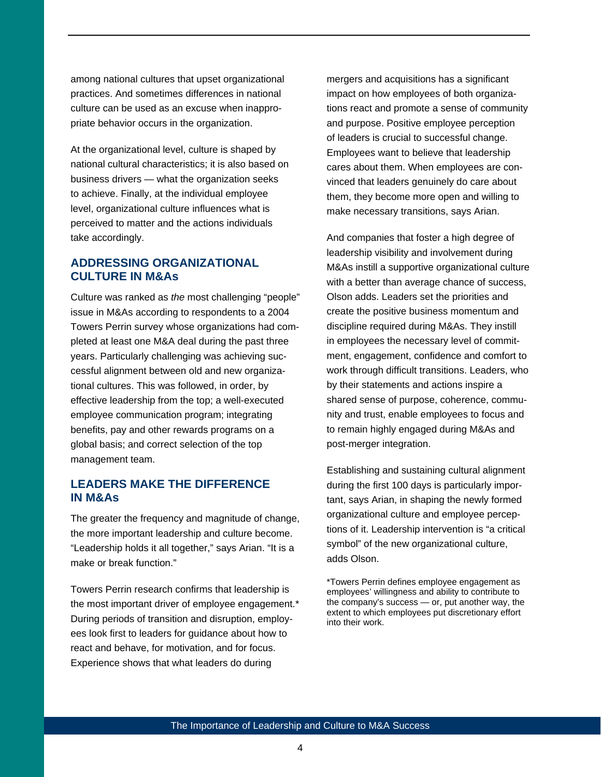among national cultures that upset organizational practices. And sometimes differences in national culture can be used as an excuse when inappropriate behavior occurs in the organization.

At the organizational level, culture is shaped by national cultural characteristics; it is also based on business drivers — what the organization seeks to achieve. Finally, at the individual employee level, organizational culture influences what is perceived to matter and the actions individuals take accordingly.

## **ADDRESSING ORGANIZATIONAL CULTURE IN M&As**

Culture was ranked as *the* most challenging "people" issue in M&As according to respondents to a 2004 Towers Perrin survey whose organizations had completed at least one M&A deal during the past three years. Particularly challenging was achieving successful alignment between old and new organizational cultures. This was followed, in order, by effective leadership from the top; a well-executed employee communication program; integrating benefits, pay and other rewards programs on a global basis; and correct selection of the top management team.

## **LEADERS MAKE THE DIFFERENCE IN M&As**

The greater the frequency and magnitude of change, the more important leadership and culture become. "Leadership holds it all together," says Arian. "It is a make or break function."

Towers Perrin research confirms that leadership is the most important driver of employee engagement.\* During periods of transition and disruption, employees look first to leaders for guidance about how to react and behave, for motivation, and for focus. Experience shows that what leaders do during

mergers and acquisitions has a significant impact on how employees of both organizations react and promote a sense of community and purpose. Positive employee perception of leaders is crucial to successful change. Employees want to believe that leadership cares about them. When employees are convinced that leaders genuinely do care about them, they become more open and willing to make necessary transitions, says Arian.

And companies that foster a high degree of leadership visibility and involvement during M&As instill a supportive organizational culture with a better than average chance of success. Olson adds. Leaders set the priorities and create the positive business momentum and discipline required during M&As. They instill in employees the necessary level of commitment, engagement, confidence and comfort to work through difficult transitions. Leaders, who by their statements and actions inspire a shared sense of purpose, coherence, community and trust, enable employees to focus and to remain highly engaged during M&As and post-merger integration.

Establishing and sustaining cultural alignment during the first 100 days is particularly important, says Arian, in shaping the newly formed organizational culture and employee perceptions of it. Leadership intervention is "a critical symbol" of the new organizational culture, adds Olson.

\*Towers Perrin defines employee engagement as employees' willingness and ability to contribute to the company's success — or, put another way, the extent to which employees put discretionary effort into their work.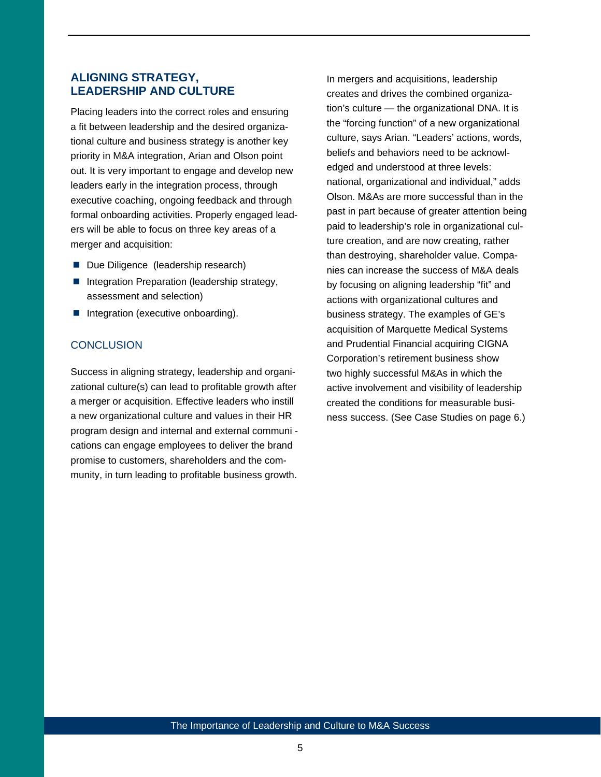## **ALIGNING STRATEGY, LEADERSHIP AND CULTURE**

Placing leaders into the correct roles and ensuring a fit between leadership and the desired organizational culture and business strategy is another key priority in M&A integration, Arian and Olson point out. It is very important to engage and develop new leaders early in the integration process, through executive coaching, ongoing feedback and through formal onboarding activities. Properly engaged leaders will be able to focus on three key areas of a merger and acquisition:

- Due Diligence (leadership research)
- Integration Preparation (leadership strategy, assessment and selection)
- $\blacksquare$  Integration (executive onboarding).

## **CONCLUSION**

Success in aligning strategy, leadership and organizational culture(s) can lead to profitable growth after a merger or acquisition. Effective leaders who instill a new organizational culture and values in their HR program design and internal and external communi cations can engage employees to deliver the brand promise to customers, shareholders and the community, in turn leading to profitable business growth.

In mergers and acquisitions, leadership creates and drives the combined organization's culture — the organizational DNA. It is the "forcing function" of a new organizational culture, says Arian. "Leaders' actions, words, beliefs and behaviors need to be acknowledged and understood at three levels: national, organizational and individual," adds Olson. M&As are more successful than in the past in part because of greater attention being paid to leadership's role in organizational culture creation, and are now creating, rather than destroying, shareholder value. Companies can increase the success of M&A deals by focusing on aligning leadership "fit" and actions with organizational cultures and business strategy. The examples of GE's acquisition of Marquette Medical Systems and Prudential Financial acquiring CIGNA Corporation's retirement business show two highly successful M&As in which the active involvement and visibility of leadership created the conditions for measurable business success. (See Case Studies on page 6.)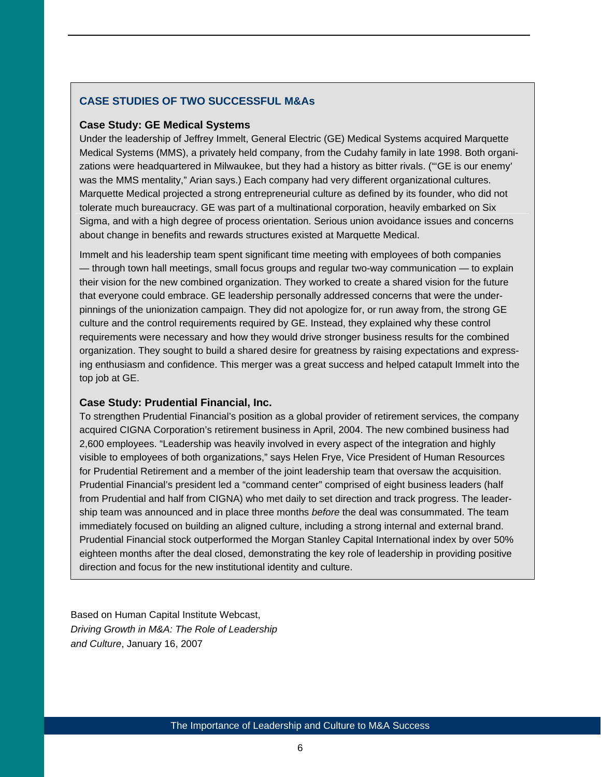## **CASE STUDIES OF TWO SUCCESSFUL M&As**

#### **Case Study: GE Medical Systems**

Under the leadership of Jeffrey Immelt, General Electric (GE) Medical Systems acquired Marquette Medical Systems (MMS), a privately held company, from the Cudahy family in late 1998. Both organizations were headquartered in Milwaukee, but they had a history as bitter rivals. ("'GE is our enemy' was the MMS mentality," Arian says.) Each company had very different organizational cultures. Marquette Medical projected a strong entrepreneurial culture as defined by its founder, who did not tolerate much bureaucracy. GE was part of a multinational corporation, heavily embarked on Six Sigma, and with a high degree of process orientation. Serious union avoidance issues and concerns about change in benefits and rewards structures existed at Marquette Medical.

Immelt and his leadership team spent significant time meeting with employees of both companies — through town hall meetings, small focus groups and regular two-way communication — to explain their vision for the new combined organization. They worked to create a shared vision for the future that everyone could embrace. GE leadership personally addressed concerns that were the underpinnings of the unionization campaign. They did not apologize for, or run away from, the strong GE culture and the control requirements required by GE. Instead, they explained why these control requirements were necessary and how they would drive stronger business results for the combined organization. They sought to build a shared desire for greatness by raising expectations and expressing enthusiasm and confidence. This merger was a great success and helped catapult Immelt into the top job at GE.

#### **Case Study: Prudential Financial, Inc.**

To strengthen Prudential Financial's position as a global provider of retirement services, the company acquired CIGNA Corporation's retirement business in April, 2004. The new combined business had 2,600 employees. "Leadership was heavily involved in every aspect of the integration and highly visible to employees of both organizations," says Helen Frye, Vice President of Human Resources for Prudential Retirement and a member of the joint leadership team that oversaw the acquisition. Prudential Financial's president led a "command center" comprised of eight business leaders (half from Prudential and half from CIGNA) who met daily to set direction and track progress. The leadership team was announced and in place three months *before* the deal was consummated. The team immediately focused on building an aligned culture, including a strong internal and external brand. Prudential Financial stock outperformed the Morgan Stanley Capital International index by over 50% eighteen months after the deal closed, demonstrating the key role of leadership in providing positive direction and focus for the new institutional identity and culture.

Based on Human Capital Institute Webcast, *Driving Growth in M&A: The Role of Leadership and Culture*, January 16, 2007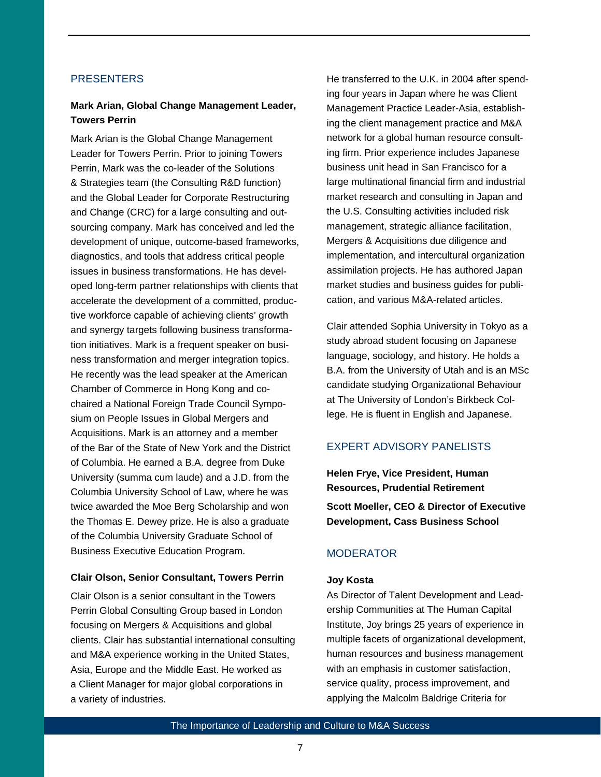#### **PRESENTERS**

## **Mark Arian, Global Change Management Leader, Towers Perrin**

Mark Arian is the Global Change Management Leader for Towers Perrin. Prior to joining Towers Perrin, Mark was the co-leader of the Solutions & Strategies team (the Consulting R&D function) and the Global Leader for Corporate Restructuring and Change (CRC) for a large consulting and outsourcing company. Mark has conceived and led the development of unique, outcome-based frameworks, diagnostics, and tools that address critical people issues in business transformations. He has developed long-term partner relationships with clients that accelerate the development of a committed, productive workforce capable of achieving clients' growth and synergy targets following business transformation initiatives. Mark is a frequent speaker on business transformation and merger integration topics. He recently was the lead speaker at the American Chamber of Commerce in Hong Kong and cochaired a National Foreign Trade Council Symposium on People Issues in Global Mergers and Acquisitions. Mark is an attorney and a member of the Bar of the State of New York and the District of Columbia. He earned a B.A. degree from Duke University (summa cum laude) and a J.D. from the Columbia University School of Law, where he was twice awarded the Moe Berg Scholarship and won the Thomas E. Dewey prize. He is also a graduate of the Columbia University Graduate School of Business Executive Education Program.

#### **Clair Olson, Senior Consultant, Towers Perrin**

Clair Olson is a senior consultant in the Towers Perrin Global Consulting Group based in London focusing on Mergers & Acquisitions and global clients. Clair has substantial international consulting and M&A experience working in the United States, Asia, Europe and the Middle East. He worked as a Client Manager for major global corporations in a variety of industries.

He transferred to the U.K. in 2004 after spending four years in Japan where he was Client Management Practice Leader-Asia, establishing the client management practice and M&A network for a global human resource consulting firm. Prior experience includes Japanese business unit head in San Francisco for a large multinational financial firm and industrial market research and consulting in Japan and the U.S. Consulting activities included risk management, strategic alliance facilitation, Mergers & Acquisitions due diligence and implementation, and intercultural organization assimilation projects. He has authored Japan market studies and business guides for publication, and various M&A-related articles.

Clair attended Sophia University in Tokyo as a study abroad student focusing on Japanese language, sociology, and history. He holds a B.A. from the University of Utah and is an MSc candidate studying Organizational Behaviour at The University of London's Birkbeck College. He is fluent in English and Japanese.

#### EXPERT ADVISORY PANELISTS

**Helen Frye, Vice President, Human Resources, Prudential Retirement Scott Moeller, CEO & Director of Executive Development, Cass Business School** 

#### **MODERATOR**

#### **Joy Kosta**

As Director of Talent Development and Leadership Communities at The Human Capital Institute, Joy brings 25 years of experience in multiple facets of organizational development, human resources and business management with an emphasis in customer satisfaction, service quality, process improvement, and applying the Malcolm Baldrige Criteria for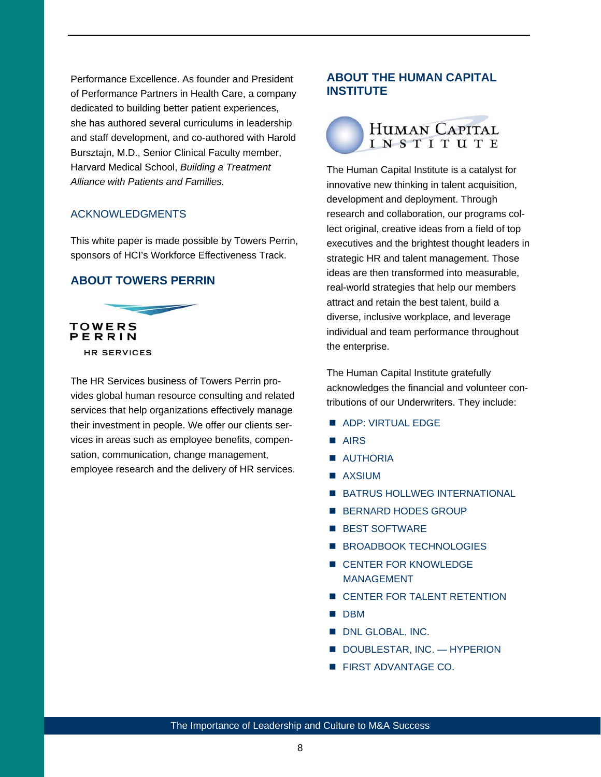Performance Excellence. As founder and President of Performance Partners in Health Care, a company dedicated to building better patient experiences, she has authored several curriculums in leadership and staff development, and co-authored with Harold Bursztajn, M.D., Senior Clinical Faculty member, Harvard Medical School, *Building a Treatment Alliance with Patients and Families.* 

#### ACKNOWLEDGMENTS

This white paper is made possible by Towers Perrin, sponsors of HCI's Workforce Effectiveness Track.

## **ABOUT TOWERS PERRIN**



The HR Services business of Towers Perrin provides global human resource consulting and related services that help organizations effectively manage their investment in people. We offer our clients services in areas such as employee benefits, compensation, communication, change management, employee research and the delivery of HR services.

## **ABOUT THE HUMAN CAPITAL INSTITUTE**



The Human Capital Institute is a catalyst for innovative new thinking in talent acquisition, development and deployment. Through research and collaboration, our programs collect original, creative ideas from a field of top executives and the brightest thought leaders in strategic HR and talent management. Those ideas are then transformed into measurable, real-world strategies that help our members attract and retain the best talent, build a diverse, inclusive workplace, and leverage individual and team performance throughout the enterprise.

The Human Capital Institute gratefully acknowledges the financial and volunteer contributions of our Underwriters. They include:

- **ADP: VIRTUAL EDGE**
- **AIRS**
- **AUTHORIA**
- **AXSIUM**
- **BATRUS HOLLWEG INTERNATIONAL**
- **BERNARD HODES GROUP**
- **BEST SOFTWARE**
- **BROADBOOK TECHNOLOGIES**
- **E** CENTER FOR KNOWLEDGE MANAGEMENT
- **EXECUTER FOR TALENT RETENTION**
- **DBM**
- **DNL GLOBAL, INC.**
- DOUBLESTAR, INC. HYPERION
- **FIRST ADVANTAGE CO.**